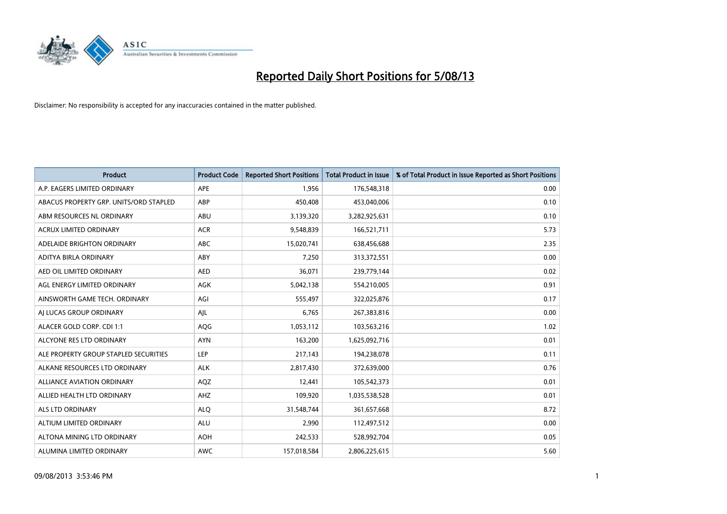

| <b>Product</b>                         | <b>Product Code</b> | <b>Reported Short Positions</b> | <b>Total Product in Issue</b> | % of Total Product in Issue Reported as Short Positions |
|----------------------------------------|---------------------|---------------------------------|-------------------------------|---------------------------------------------------------|
| A.P. EAGERS LIMITED ORDINARY           | APE                 | 1,956                           | 176,548,318                   | 0.00                                                    |
| ABACUS PROPERTY GRP. UNITS/ORD STAPLED | ABP                 | 450,408                         | 453,040,006                   | 0.10                                                    |
| ABM RESOURCES NL ORDINARY              | ABU                 | 3,139,320                       | 3,282,925,631                 | 0.10                                                    |
| ACRUX LIMITED ORDINARY                 | <b>ACR</b>          | 9,548,839                       | 166,521,711                   | 5.73                                                    |
| ADELAIDE BRIGHTON ORDINARY             | <b>ABC</b>          | 15,020,741                      | 638,456,688                   | 2.35                                                    |
| ADITYA BIRLA ORDINARY                  | ABY                 | 7,250                           | 313,372,551                   | 0.00                                                    |
| AED OIL LIMITED ORDINARY               | <b>AED</b>          | 36,071                          | 239,779,144                   | 0.02                                                    |
| AGL ENERGY LIMITED ORDINARY            | AGK                 | 5,042,138                       | 554,210,005                   | 0.91                                                    |
| AINSWORTH GAME TECH. ORDINARY          | AGI                 | 555,497                         | 322,025,876                   | 0.17                                                    |
| AI LUCAS GROUP ORDINARY                | AJL                 | 6,765                           | 267,383,816                   | 0.00                                                    |
| ALACER GOLD CORP. CDI 1:1              | AQG                 | 1,053,112                       | 103,563,216                   | 1.02                                                    |
| ALCYONE RES LTD ORDINARY               | <b>AYN</b>          | 163,200                         | 1,625,092,716                 | 0.01                                                    |
| ALE PROPERTY GROUP STAPLED SECURITIES  | <b>LEP</b>          | 217,143                         | 194,238,078                   | 0.11                                                    |
| ALKANE RESOURCES LTD ORDINARY          | <b>ALK</b>          | 2,817,430                       | 372,639,000                   | 0.76                                                    |
| <b>ALLIANCE AVIATION ORDINARY</b>      | AQZ                 | 12,441                          | 105,542,373                   | 0.01                                                    |
| ALLIED HEALTH LTD ORDINARY             | AHZ                 | 109,920                         | 1,035,538,528                 | 0.01                                                    |
| ALS LTD ORDINARY                       | <b>ALQ</b>          | 31,548,744                      | 361,657,668                   | 8.72                                                    |
| ALTIUM LIMITED ORDINARY                | ALU                 | 2,990                           | 112,497,512                   | 0.00                                                    |
| ALTONA MINING LTD ORDINARY             | <b>AOH</b>          | 242,533                         | 528,992,704                   | 0.05                                                    |
| ALUMINA LIMITED ORDINARY               | <b>AWC</b>          | 157,018,584                     | 2,806,225,615                 | 5.60                                                    |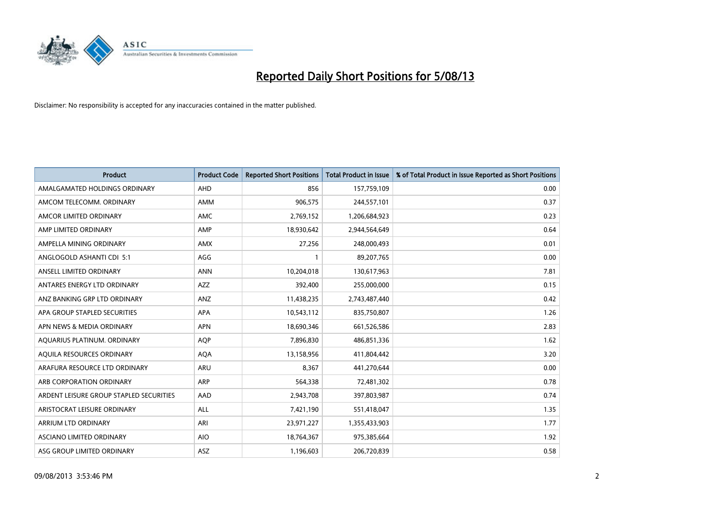

| <b>Product</b>                          | <b>Product Code</b> | <b>Reported Short Positions</b> | <b>Total Product in Issue</b> | % of Total Product in Issue Reported as Short Positions |
|-----------------------------------------|---------------------|---------------------------------|-------------------------------|---------------------------------------------------------|
| AMALGAMATED HOLDINGS ORDINARY           | AHD                 | 856                             | 157,759,109                   | 0.00                                                    |
| AMCOM TELECOMM. ORDINARY                | AMM                 | 906,575                         | 244,557,101                   | 0.37                                                    |
| AMCOR LIMITED ORDINARY                  | <b>AMC</b>          | 2,769,152                       | 1,206,684,923                 | 0.23                                                    |
| AMP LIMITED ORDINARY                    | AMP                 | 18,930,642                      | 2,944,564,649                 | 0.64                                                    |
| AMPELLA MINING ORDINARY                 | <b>AMX</b>          | 27,256                          | 248,000,493                   | 0.01                                                    |
| ANGLOGOLD ASHANTI CDI 5:1               | AGG                 |                                 | 89,207,765                    | 0.00                                                    |
| ANSELL LIMITED ORDINARY                 | <b>ANN</b>          | 10,204,018                      | 130,617,963                   | 7.81                                                    |
| ANTARES ENERGY LTD ORDINARY             | <b>AZZ</b>          | 392,400                         | 255,000,000                   | 0.15                                                    |
| ANZ BANKING GRP LTD ORDINARY            | ANZ                 | 11,438,235                      | 2,743,487,440                 | 0.42                                                    |
| APA GROUP STAPLED SECURITIES            | <b>APA</b>          | 10,543,112                      | 835,750,807                   | 1.26                                                    |
| APN NEWS & MEDIA ORDINARY               | <b>APN</b>          | 18,690,346                      | 661,526,586                   | 2.83                                                    |
| AQUARIUS PLATINUM. ORDINARY             | <b>AQP</b>          | 7,896,830                       | 486,851,336                   | 1.62                                                    |
| AQUILA RESOURCES ORDINARY               | <b>AQA</b>          | 13,158,956                      | 411,804,442                   | 3.20                                                    |
| ARAFURA RESOURCE LTD ORDINARY           | ARU                 | 8,367                           | 441,270,644                   | 0.00                                                    |
| ARB CORPORATION ORDINARY                | <b>ARP</b>          | 564,338                         | 72,481,302                    | 0.78                                                    |
| ARDENT LEISURE GROUP STAPLED SECURITIES | AAD                 | 2,943,708                       | 397,803,987                   | 0.74                                                    |
| ARISTOCRAT LEISURE ORDINARY             | ALL                 | 7,421,190                       | 551,418,047                   | 1.35                                                    |
| ARRIUM LTD ORDINARY                     | ARI                 | 23,971,227                      | 1,355,433,903                 | 1.77                                                    |
| ASCIANO LIMITED ORDINARY                | <b>AIO</b>          | 18,764,367                      | 975,385,664                   | 1.92                                                    |
| ASG GROUP LIMITED ORDINARY              | ASZ                 | 1,196,603                       | 206,720,839                   | 0.58                                                    |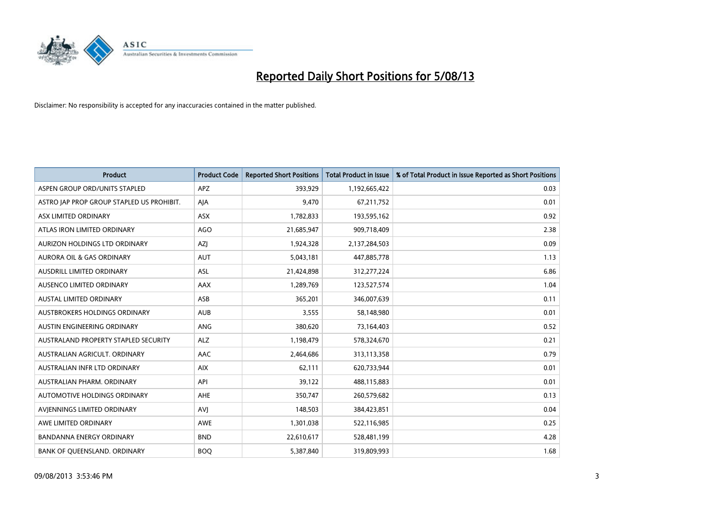

| <b>Product</b>                            | <b>Product Code</b> | <b>Reported Short Positions</b> | <b>Total Product in Issue</b> | % of Total Product in Issue Reported as Short Positions |
|-------------------------------------------|---------------------|---------------------------------|-------------------------------|---------------------------------------------------------|
| ASPEN GROUP ORD/UNITS STAPLED             | <b>APZ</b>          | 393,929                         | 1,192,665,422                 | 0.03                                                    |
| ASTRO JAP PROP GROUP STAPLED US PROHIBIT. | AJA                 | 9,470                           | 67,211,752                    | 0.01                                                    |
| ASX LIMITED ORDINARY                      | <b>ASX</b>          | 1,782,833                       | 193,595,162                   | 0.92                                                    |
| ATLAS IRON LIMITED ORDINARY               | AGO                 | 21,685,947                      | 909,718,409                   | 2.38                                                    |
| AURIZON HOLDINGS LTD ORDINARY             | <b>AZI</b>          | 1,924,328                       | 2,137,284,503                 | 0.09                                                    |
| <b>AURORA OIL &amp; GAS ORDINARY</b>      | <b>AUT</b>          | 5,043,181                       | 447,885,778                   | 1.13                                                    |
| AUSDRILL LIMITED ORDINARY                 | ASL                 | 21,424,898                      | 312,277,224                   | 6.86                                                    |
| AUSENCO LIMITED ORDINARY                  | AAX                 | 1,289,769                       | 123,527,574                   | 1.04                                                    |
| <b>AUSTAL LIMITED ORDINARY</b>            | ASB                 | 365,201                         | 346,007,639                   | 0.11                                                    |
| AUSTBROKERS HOLDINGS ORDINARY             | <b>AUB</b>          | 3,555                           | 58,148,980                    | 0.01                                                    |
| AUSTIN ENGINEERING ORDINARY               | ANG                 | 380,620                         | 73,164,403                    | 0.52                                                    |
| AUSTRALAND PROPERTY STAPLED SECURITY      | <b>ALZ</b>          | 1,198,479                       | 578,324,670                   | 0.21                                                    |
| AUSTRALIAN AGRICULT. ORDINARY             | AAC                 | 2,464,686                       | 313,113,358                   | 0.79                                                    |
| AUSTRALIAN INFR LTD ORDINARY              | <b>AIX</b>          | 62,111                          | 620,733,944                   | 0.01                                                    |
| AUSTRALIAN PHARM, ORDINARY                | API                 | 39,122                          | 488,115,883                   | 0.01                                                    |
| AUTOMOTIVE HOLDINGS ORDINARY              | AHE                 | 350,747                         | 260,579,682                   | 0.13                                                    |
| AVIENNINGS LIMITED ORDINARY               | <b>AVJ</b>          | 148,503                         | 384,423,851                   | 0.04                                                    |
| AWE LIMITED ORDINARY                      | <b>AWE</b>          | 1,301,038                       | 522,116,985                   | 0.25                                                    |
| <b>BANDANNA ENERGY ORDINARY</b>           | <b>BND</b>          | 22,610,617                      | 528,481,199                   | 4.28                                                    |
| BANK OF QUEENSLAND. ORDINARY              | <b>BOQ</b>          | 5,387,840                       | 319,809,993                   | 1.68                                                    |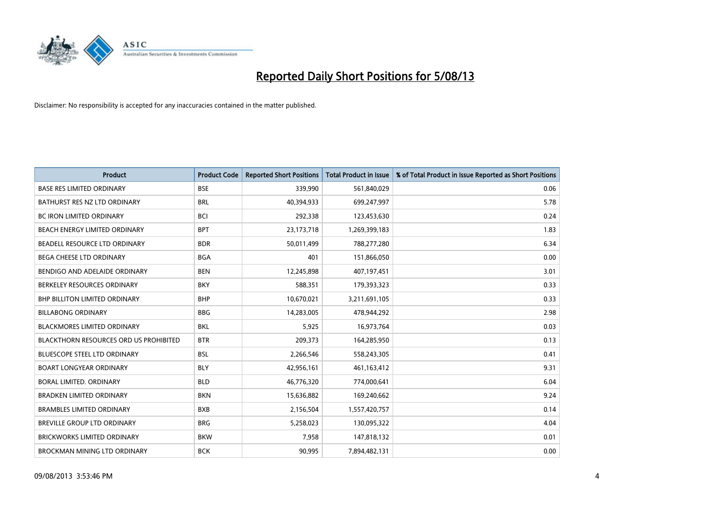

| <b>Product</b>                                | <b>Product Code</b> | <b>Reported Short Positions</b> | <b>Total Product in Issue</b> | % of Total Product in Issue Reported as Short Positions |
|-----------------------------------------------|---------------------|---------------------------------|-------------------------------|---------------------------------------------------------|
| <b>BASE RES LIMITED ORDINARY</b>              | <b>BSE</b>          | 339,990                         | 561,840,029                   | 0.06                                                    |
| BATHURST RES NZ LTD ORDINARY                  | <b>BRL</b>          | 40,394,933                      | 699,247,997                   | 5.78                                                    |
| <b>BC IRON LIMITED ORDINARY</b>               | <b>BCI</b>          | 292,338                         | 123,453,630                   | 0.24                                                    |
| BEACH ENERGY LIMITED ORDINARY                 | <b>BPT</b>          | 23,173,718                      | 1,269,399,183                 | 1.83                                                    |
| BEADELL RESOURCE LTD ORDINARY                 | <b>BDR</b>          | 50,011,499                      | 788,277,280                   | 6.34                                                    |
| <b>BEGA CHEESE LTD ORDINARY</b>               | <b>BGA</b>          | 401                             | 151,866,050                   | 0.00                                                    |
| BENDIGO AND ADELAIDE ORDINARY                 | <b>BEN</b>          | 12,245,898                      | 407,197,451                   | 3.01                                                    |
| BERKELEY RESOURCES ORDINARY                   | <b>BKY</b>          | 588,351                         | 179,393,323                   | 0.33                                                    |
| <b>BHP BILLITON LIMITED ORDINARY</b>          | <b>BHP</b>          | 10,670,021                      | 3,211,691,105                 | 0.33                                                    |
| <b>BILLABONG ORDINARY</b>                     | <b>BBG</b>          | 14,283,005                      | 478,944,292                   | 2.98                                                    |
| <b>BLACKMORES LIMITED ORDINARY</b>            | <b>BKL</b>          | 5,925                           | 16,973,764                    | 0.03                                                    |
| <b>BLACKTHORN RESOURCES ORD US PROHIBITED</b> | <b>BTR</b>          | 209,373                         | 164,285,950                   | 0.13                                                    |
| <b>BLUESCOPE STEEL LTD ORDINARY</b>           | <b>BSL</b>          | 2,266,546                       | 558,243,305                   | 0.41                                                    |
| <b>BOART LONGYEAR ORDINARY</b>                | <b>BLY</b>          | 42,956,161                      | 461,163,412                   | 9.31                                                    |
| <b>BORAL LIMITED, ORDINARY</b>                | <b>BLD</b>          | 46,776,320                      | 774,000,641                   | 6.04                                                    |
| <b>BRADKEN LIMITED ORDINARY</b>               | <b>BKN</b>          | 15,636,882                      | 169,240,662                   | 9.24                                                    |
| <b>BRAMBLES LIMITED ORDINARY</b>              | <b>BXB</b>          | 2,156,504                       | 1,557,420,757                 | 0.14                                                    |
| <b>BREVILLE GROUP LTD ORDINARY</b>            | <b>BRG</b>          | 5,258,023                       | 130,095,322                   | 4.04                                                    |
| <b>BRICKWORKS LIMITED ORDINARY</b>            | <b>BKW</b>          | 7,958                           | 147,818,132                   | 0.01                                                    |
| <b>BROCKMAN MINING LTD ORDINARY</b>           | <b>BCK</b>          | 90,995                          | 7,894,482,131                 | 0.00                                                    |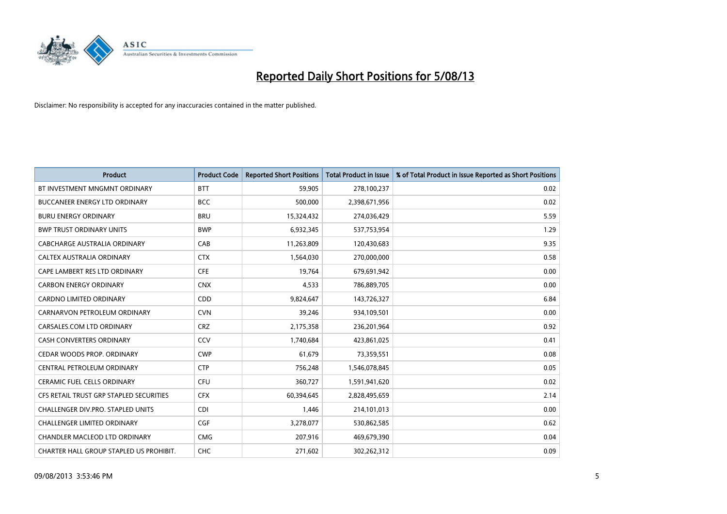

| <b>Product</b>                          | <b>Product Code</b> | <b>Reported Short Positions</b> | <b>Total Product in Issue</b> | % of Total Product in Issue Reported as Short Positions |
|-----------------------------------------|---------------------|---------------------------------|-------------------------------|---------------------------------------------------------|
| BT INVESTMENT MNGMNT ORDINARY           | <b>BTT</b>          | 59,905                          | 278,100,237                   | 0.02                                                    |
| <b>BUCCANEER ENERGY LTD ORDINARY</b>    | <b>BCC</b>          | 500,000                         | 2,398,671,956                 | 0.02                                                    |
| <b>BURU ENERGY ORDINARY</b>             | <b>BRU</b>          | 15,324,432                      | 274,036,429                   | 5.59                                                    |
| <b>BWP TRUST ORDINARY UNITS</b>         | <b>BWP</b>          | 6,932,345                       | 537,753,954                   | 1.29                                                    |
| <b>CABCHARGE AUSTRALIA ORDINARY</b>     | CAB                 | 11,263,809                      | 120,430,683                   | 9.35                                                    |
| CALTEX AUSTRALIA ORDINARY               | <b>CTX</b>          | 1,564,030                       | 270,000,000                   | 0.58                                                    |
| CAPE LAMBERT RES LTD ORDINARY           | <b>CFE</b>          | 19,764                          | 679,691,942                   | 0.00                                                    |
| <b>CARBON ENERGY ORDINARY</b>           | <b>CNX</b>          | 4,533                           | 786,889,705                   | 0.00                                                    |
| <b>CARDNO LIMITED ORDINARY</b>          | CDD                 | 9,824,647                       | 143,726,327                   | 6.84                                                    |
| CARNARVON PETROLEUM ORDINARY            | <b>CVN</b>          | 39,246                          | 934,109,501                   | 0.00                                                    |
| CARSALES.COM LTD ORDINARY               | <b>CRZ</b>          | 2,175,358                       | 236,201,964                   | 0.92                                                    |
| <b>CASH CONVERTERS ORDINARY</b>         | CCV                 | 1,740,684                       | 423,861,025                   | 0.41                                                    |
| CEDAR WOODS PROP. ORDINARY              | <b>CWP</b>          | 61,679                          | 73,359,551                    | 0.08                                                    |
| CENTRAL PETROLEUM ORDINARY              | <b>CTP</b>          | 756,248                         | 1,546,078,845                 | 0.05                                                    |
| <b>CERAMIC FUEL CELLS ORDINARY</b>      | <b>CFU</b>          | 360,727                         | 1,591,941,620                 | 0.02                                                    |
| CFS RETAIL TRUST GRP STAPLED SECURITIES | <b>CFX</b>          | 60,394,645                      | 2,828,495,659                 | 2.14                                                    |
| CHALLENGER DIV.PRO. STAPLED UNITS       | <b>CDI</b>          | 1,446                           | 214,101,013                   | 0.00                                                    |
| <b>CHALLENGER LIMITED ORDINARY</b>      | <b>CGF</b>          | 3,278,077                       | 530,862,585                   | 0.62                                                    |
| CHANDLER MACLEOD LTD ORDINARY           | <b>CMG</b>          | 207,916                         | 469,679,390                   | 0.04                                                    |
| CHARTER HALL GROUP STAPLED US PROHIBIT. | <b>CHC</b>          | 271,602                         | 302,262,312                   | 0.09                                                    |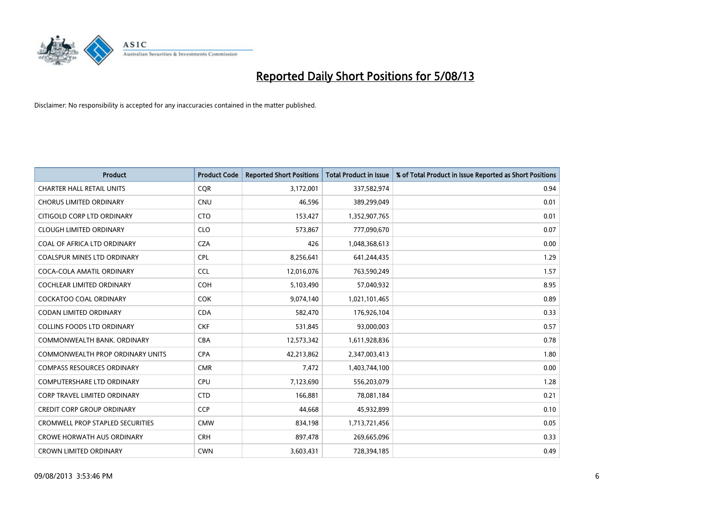

| <b>Product</b>                          | <b>Product Code</b> | <b>Reported Short Positions</b> | <b>Total Product in Issue</b> | % of Total Product in Issue Reported as Short Positions |
|-----------------------------------------|---------------------|---------------------------------|-------------------------------|---------------------------------------------------------|
| <b>CHARTER HALL RETAIL UNITS</b>        | <b>CQR</b>          | 3,172,001                       | 337,582,974                   | 0.94                                                    |
| <b>CHORUS LIMITED ORDINARY</b>          | CNU                 | 46,596                          | 389,299,049                   | 0.01                                                    |
| CITIGOLD CORP LTD ORDINARY              | <b>CTO</b>          | 153,427                         | 1,352,907,765                 | 0.01                                                    |
| <b>CLOUGH LIMITED ORDINARY</b>          | <b>CLO</b>          | 573,867                         | 777,090,670                   | 0.07                                                    |
| COAL OF AFRICA LTD ORDINARY             | <b>CZA</b>          | 426                             | 1,048,368,613                 | 0.00                                                    |
| COALSPUR MINES LTD ORDINARY             | <b>CPL</b>          | 8,256,641                       | 641,244,435                   | 1.29                                                    |
| COCA-COLA AMATIL ORDINARY               | <b>CCL</b>          | 12,016,076                      | 763,590,249                   | 1.57                                                    |
| COCHLEAR LIMITED ORDINARY               | <b>COH</b>          | 5,103,490                       | 57,040,932                    | 8.95                                                    |
| <b>COCKATOO COAL ORDINARY</b>           | <b>COK</b>          | 9,074,140                       | 1,021,101,465                 | 0.89                                                    |
| <b>CODAN LIMITED ORDINARY</b>           | <b>CDA</b>          | 582,470                         | 176,926,104                   | 0.33                                                    |
| <b>COLLINS FOODS LTD ORDINARY</b>       | <b>CKF</b>          | 531,845                         | 93,000,003                    | 0.57                                                    |
| COMMONWEALTH BANK, ORDINARY             | <b>CBA</b>          | 12,573,342                      | 1,611,928,836                 | 0.78                                                    |
| <b>COMMONWEALTH PROP ORDINARY UNITS</b> | <b>CPA</b>          | 42,213,862                      | 2,347,003,413                 | 1.80                                                    |
| <b>COMPASS RESOURCES ORDINARY</b>       | <b>CMR</b>          | 7,472                           | 1,403,744,100                 | 0.00                                                    |
| <b>COMPUTERSHARE LTD ORDINARY</b>       | <b>CPU</b>          | 7,123,690                       | 556,203,079                   | 1.28                                                    |
| <b>CORP TRAVEL LIMITED ORDINARY</b>     | <b>CTD</b>          | 166,881                         | 78,081,184                    | 0.21                                                    |
| <b>CREDIT CORP GROUP ORDINARY</b>       | <b>CCP</b>          | 44,668                          | 45,932,899                    | 0.10                                                    |
| <b>CROMWELL PROP STAPLED SECURITIES</b> | <b>CMW</b>          | 834,198                         | 1,713,721,456                 | 0.05                                                    |
| <b>CROWE HORWATH AUS ORDINARY</b>       | <b>CRH</b>          | 897,478                         | 269,665,096                   | 0.33                                                    |
| <b>CROWN LIMITED ORDINARY</b>           | <b>CWN</b>          | 3,603,431                       | 728,394,185                   | 0.49                                                    |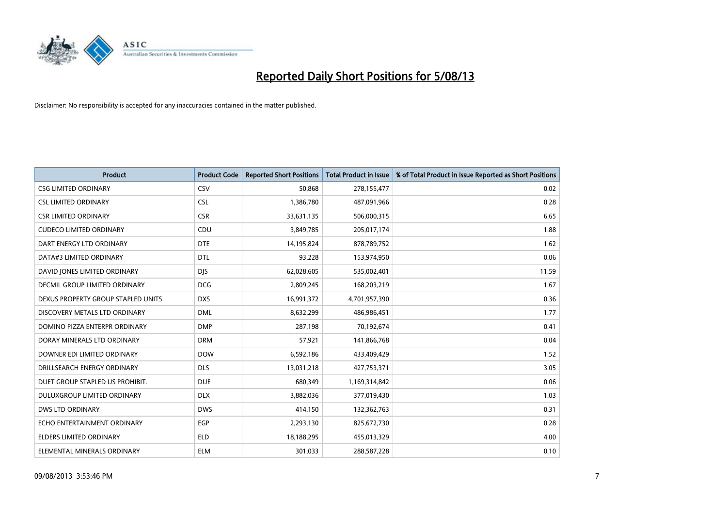

| <b>Product</b>                     | <b>Product Code</b> | <b>Reported Short Positions</b> | <b>Total Product in Issue</b> | % of Total Product in Issue Reported as Short Positions |
|------------------------------------|---------------------|---------------------------------|-------------------------------|---------------------------------------------------------|
| <b>CSG LIMITED ORDINARY</b>        | CSV                 | 50,868                          | 278,155,477                   | 0.02                                                    |
| <b>CSL LIMITED ORDINARY</b>        | <b>CSL</b>          | 1,386,780                       | 487,091,966                   | 0.28                                                    |
| <b>CSR LIMITED ORDINARY</b>        | <b>CSR</b>          | 33,631,135                      | 506,000,315                   | 6.65                                                    |
| <b>CUDECO LIMITED ORDINARY</b>     | CDU                 | 3,849,785                       | 205,017,174                   | 1.88                                                    |
| DART ENERGY LTD ORDINARY           | <b>DTE</b>          | 14,195,824                      | 878,789,752                   | 1.62                                                    |
| DATA#3 LIMITED ORDINARY            | <b>DTL</b>          | 93,228                          | 153,974,950                   | 0.06                                                    |
| DAVID JONES LIMITED ORDINARY       | <b>DIS</b>          | 62,028,605                      | 535,002,401                   | 11.59                                                   |
| DECMIL GROUP LIMITED ORDINARY      | <b>DCG</b>          | 2,809,245                       | 168,203,219                   | 1.67                                                    |
| DEXUS PROPERTY GROUP STAPLED UNITS | <b>DXS</b>          | 16,991,372                      | 4,701,957,390                 | 0.36                                                    |
| DISCOVERY METALS LTD ORDINARY      | <b>DML</b>          | 8,632,299                       | 486,986,451                   | 1.77                                                    |
| DOMINO PIZZA ENTERPR ORDINARY      | <b>DMP</b>          | 287,198                         | 70,192,674                    | 0.41                                                    |
| DORAY MINERALS LTD ORDINARY        | <b>DRM</b>          | 57,921                          | 141,866,768                   | 0.04                                                    |
| DOWNER EDI LIMITED ORDINARY        | <b>DOW</b>          | 6,592,186                       | 433,409,429                   | 1.52                                                    |
| DRILLSEARCH ENERGY ORDINARY        | <b>DLS</b>          | 13,031,218                      | 427,753,371                   | 3.05                                                    |
| DUET GROUP STAPLED US PROHIBIT.    | <b>DUE</b>          | 680,349                         | 1,169,314,842                 | 0.06                                                    |
| DULUXGROUP LIMITED ORDINARY        | <b>DLX</b>          | 3,882,036                       | 377,019,430                   | 1.03                                                    |
| <b>DWS LTD ORDINARY</b>            | <b>DWS</b>          | 414,150                         | 132,362,763                   | 0.31                                                    |
| ECHO ENTERTAINMENT ORDINARY        | <b>EGP</b>          | 2,293,130                       | 825,672,730                   | 0.28                                                    |
| <b>ELDERS LIMITED ORDINARY</b>     | <b>ELD</b>          | 18,188,295                      | 455,013,329                   | 4.00                                                    |
| ELEMENTAL MINERALS ORDINARY        | <b>ELM</b>          | 301,033                         | 288,587,228                   | 0.10                                                    |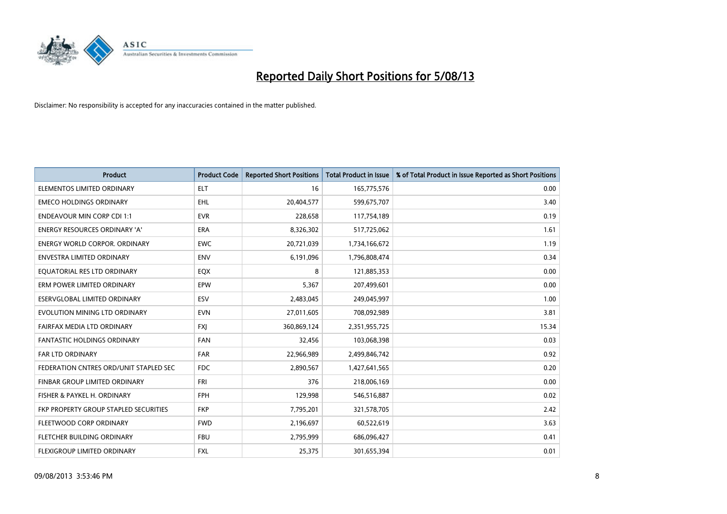

| <b>Product</b>                         | <b>Product Code</b> | <b>Reported Short Positions</b> | <b>Total Product in Issue</b> | % of Total Product in Issue Reported as Short Positions |
|----------------------------------------|---------------------|---------------------------------|-------------------------------|---------------------------------------------------------|
| ELEMENTOS LIMITED ORDINARY             | <b>ELT</b>          | 16                              | 165,775,576                   | 0.00                                                    |
| <b>EMECO HOLDINGS ORDINARY</b>         | <b>EHL</b>          | 20,404,577                      | 599,675,707                   | 3.40                                                    |
| <b>ENDEAVOUR MIN CORP CDI 1:1</b>      | <b>EVR</b>          | 228,658                         | 117,754,189                   | 0.19                                                    |
| ENERGY RESOURCES ORDINARY 'A'          | <b>ERA</b>          | 8,326,302                       | 517,725,062                   | 1.61                                                    |
| <b>ENERGY WORLD CORPOR, ORDINARY</b>   | <b>EWC</b>          | 20,721,039                      | 1,734,166,672                 | 1.19                                                    |
| <b>ENVESTRA LIMITED ORDINARY</b>       | <b>ENV</b>          | 6,191,096                       | 1,796,808,474                 | 0.34                                                    |
| EQUATORIAL RES LTD ORDINARY            | EQX                 | 8                               | 121,885,353                   | 0.00                                                    |
| ERM POWER LIMITED ORDINARY             | EPW                 | 5,367                           | 207,499,601                   | 0.00                                                    |
| <b>ESERVGLOBAL LIMITED ORDINARY</b>    | ESV                 | 2,483,045                       | 249,045,997                   | 1.00                                                    |
| EVOLUTION MINING LTD ORDINARY          | <b>EVN</b>          | 27,011,605                      | 708,092,989                   | 3.81                                                    |
| FAIRFAX MEDIA LTD ORDINARY             | <b>FXI</b>          | 360,869,124                     | 2,351,955,725                 | 15.34                                                   |
| <b>FANTASTIC HOLDINGS ORDINARY</b>     | FAN                 | 32,456                          | 103,068,398                   | 0.03                                                    |
| FAR LTD ORDINARY                       | <b>FAR</b>          | 22,966,989                      | 2,499,846,742                 | 0.92                                                    |
| FEDERATION CNTRES ORD/UNIT STAPLED SEC | <b>FDC</b>          | 2,890,567                       | 1,427,641,565                 | 0.20                                                    |
| FINBAR GROUP LIMITED ORDINARY          | FRI                 | 376                             | 218,006,169                   | 0.00                                                    |
| FISHER & PAYKEL H. ORDINARY            | <b>FPH</b>          | 129,998                         | 546,516,887                   | 0.02                                                    |
| FKP PROPERTY GROUP STAPLED SECURITIES  | <b>FKP</b>          | 7,795,201                       | 321,578,705                   | 2.42                                                    |
| FLEETWOOD CORP ORDINARY                | <b>FWD</b>          | 2,196,697                       | 60,522,619                    | 3.63                                                    |
| FLETCHER BUILDING ORDINARY             | <b>FBU</b>          | 2,795,999                       | 686,096,427                   | 0.41                                                    |
| FLEXIGROUP LIMITED ORDINARY            | FXL                 | 25,375                          | 301,655,394                   | 0.01                                                    |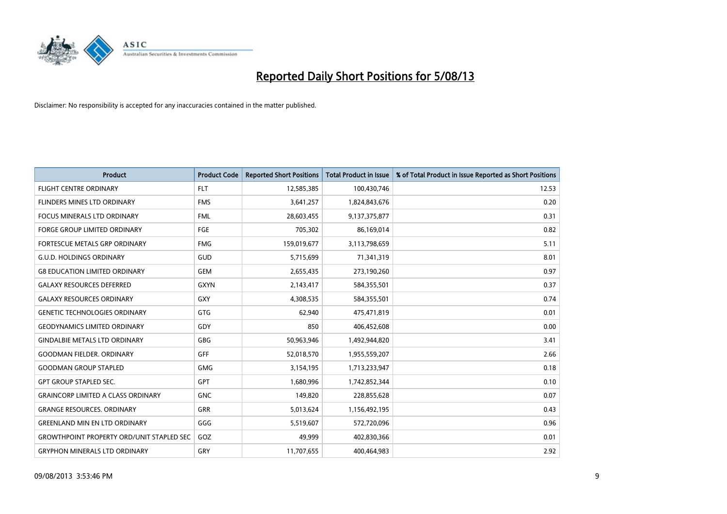

| <b>Product</b>                                   | <b>Product Code</b> | <b>Reported Short Positions</b> | <b>Total Product in Issue</b> | % of Total Product in Issue Reported as Short Positions |
|--------------------------------------------------|---------------------|---------------------------------|-------------------------------|---------------------------------------------------------|
| <b>FLIGHT CENTRE ORDINARY</b>                    | <b>FLT</b>          | 12,585,385                      | 100,430,746                   | 12.53                                                   |
| FLINDERS MINES LTD ORDINARY                      | <b>FMS</b>          | 3,641,257                       | 1,824,843,676                 | 0.20                                                    |
| <b>FOCUS MINERALS LTD ORDINARY</b>               | <b>FML</b>          | 28,603,455                      | 9,137,375,877                 | 0.31                                                    |
| FORGE GROUP LIMITED ORDINARY                     | FGE                 | 705,302                         | 86,169,014                    | 0.82                                                    |
| FORTESCUE METALS GRP ORDINARY                    | <b>FMG</b>          | 159,019,677                     | 3,113,798,659                 | 5.11                                                    |
| <b>G.U.D. HOLDINGS ORDINARY</b>                  | <b>GUD</b>          | 5,715,699                       | 71,341,319                    | 8.01                                                    |
| <b>G8 EDUCATION LIMITED ORDINARY</b>             | <b>GEM</b>          | 2,655,435                       | 273,190,260                   | 0.97                                                    |
| <b>GALAXY RESOURCES DEFERRED</b>                 | <b>GXYN</b>         | 2,143,417                       | 584,355,501                   | 0.37                                                    |
| <b>GALAXY RESOURCES ORDINARY</b>                 | GXY                 | 4,308,535                       | 584,355,501                   | 0.74                                                    |
| <b>GENETIC TECHNOLOGIES ORDINARY</b>             | GTG                 | 62,940                          | 475,471,819                   | 0.01                                                    |
| <b>GEODYNAMICS LIMITED ORDINARY</b>              | GDY                 | 850                             | 406,452,608                   | 0.00                                                    |
| <b>GINDALBIE METALS LTD ORDINARY</b>             | GBG                 | 50,963,946                      | 1,492,944,820                 | 3.41                                                    |
| <b>GOODMAN FIELDER. ORDINARY</b>                 | <b>GFF</b>          | 52,018,570                      | 1,955,559,207                 | 2.66                                                    |
| <b>GOODMAN GROUP STAPLED</b>                     | GMG                 | 3,154,195                       | 1,713,233,947                 | 0.18                                                    |
| <b>GPT GROUP STAPLED SEC.</b>                    | <b>GPT</b>          | 1,680,996                       | 1,742,852,344                 | 0.10                                                    |
| <b>GRAINCORP LIMITED A CLASS ORDINARY</b>        | <b>GNC</b>          | 149,820                         | 228,855,628                   | 0.07                                                    |
| <b>GRANGE RESOURCES. ORDINARY</b>                | GRR                 | 5,013,624                       | 1,156,492,195                 | 0.43                                                    |
| <b>GREENLAND MIN EN LTD ORDINARY</b>             | GGG                 | 5,519,607                       | 572,720,096                   | 0.96                                                    |
| <b>GROWTHPOINT PROPERTY ORD/UNIT STAPLED SEC</b> | GOZ                 | 49,999                          | 402,830,366                   | 0.01                                                    |
| <b>GRYPHON MINERALS LTD ORDINARY</b>             | GRY                 | 11,707,655                      | 400,464,983                   | 2.92                                                    |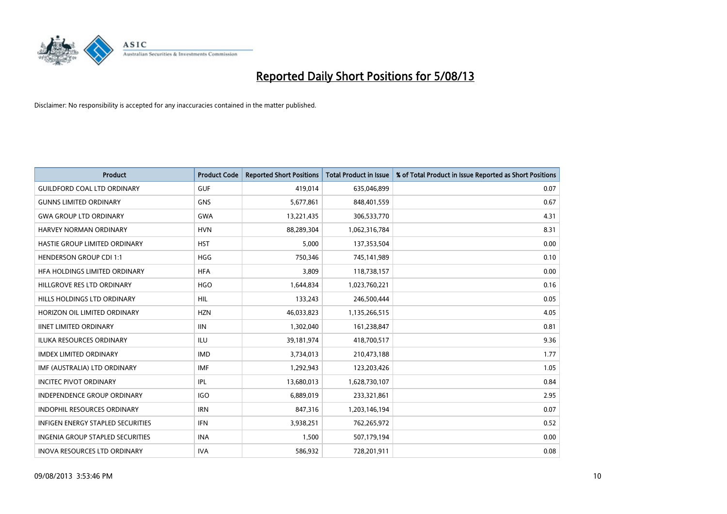

| <b>Product</b>                           | <b>Product Code</b> | <b>Reported Short Positions</b> | <b>Total Product in Issue</b> | % of Total Product in Issue Reported as Short Positions |
|------------------------------------------|---------------------|---------------------------------|-------------------------------|---------------------------------------------------------|
| <b>GUILDFORD COAL LTD ORDINARY</b>       | <b>GUF</b>          | 419,014                         | 635,046,899                   | 0.07                                                    |
| <b>GUNNS LIMITED ORDINARY</b>            | <b>GNS</b>          | 5,677,861                       | 848,401,559                   | 0.67                                                    |
| <b>GWA GROUP LTD ORDINARY</b>            | <b>GWA</b>          | 13,221,435                      | 306,533,770                   | 4.31                                                    |
| HARVEY NORMAN ORDINARY                   | <b>HVN</b>          | 88,289,304                      | 1,062,316,784                 | 8.31                                                    |
| HASTIE GROUP LIMITED ORDINARY            | <b>HST</b>          | 5,000                           | 137,353,504                   | 0.00                                                    |
| <b>HENDERSON GROUP CDI 1:1</b>           | <b>HGG</b>          | 750,346                         | 745,141,989                   | 0.10                                                    |
| HFA HOLDINGS LIMITED ORDINARY            | <b>HFA</b>          | 3,809                           | 118,738,157                   | 0.00                                                    |
| HILLGROVE RES LTD ORDINARY               | <b>HGO</b>          | 1,644,834                       | 1,023,760,221                 | 0.16                                                    |
| HILLS HOLDINGS LTD ORDINARY              | <b>HIL</b>          | 133,243                         | 246,500,444                   | 0.05                                                    |
| HORIZON OIL LIMITED ORDINARY             | <b>HZN</b>          | 46,033,823                      | 1,135,266,515                 | 4.05                                                    |
| <b>IINET LIMITED ORDINARY</b>            | <b>IIN</b>          | 1,302,040                       | 161,238,847                   | 0.81                                                    |
| ILUKA RESOURCES ORDINARY                 | ILU                 | 39,181,974                      | 418,700,517                   | 9.36                                                    |
| <b>IMDEX LIMITED ORDINARY</b>            | <b>IMD</b>          | 3,734,013                       | 210,473,188                   | 1.77                                                    |
| IMF (AUSTRALIA) LTD ORDINARY             | <b>IMF</b>          | 1,292,943                       | 123,203,426                   | 1.05                                                    |
| <b>INCITEC PIVOT ORDINARY</b>            | IPL                 | 13,680,013                      | 1,628,730,107                 | 0.84                                                    |
| INDEPENDENCE GROUP ORDINARY              | <b>IGO</b>          | 6,889,019                       | 233,321,861                   | 2.95                                                    |
| INDOPHIL RESOURCES ORDINARY              | <b>IRN</b>          | 847,316                         | 1,203,146,194                 | 0.07                                                    |
| <b>INFIGEN ENERGY STAPLED SECURITIES</b> | <b>IFN</b>          | 3,938,251                       | 762,265,972                   | 0.52                                                    |
| INGENIA GROUP STAPLED SECURITIES         | <b>INA</b>          | 1,500                           | 507,179,194                   | 0.00                                                    |
| INOVA RESOURCES LTD ORDINARY             | <b>IVA</b>          | 586,932                         | 728,201,911                   | 0.08                                                    |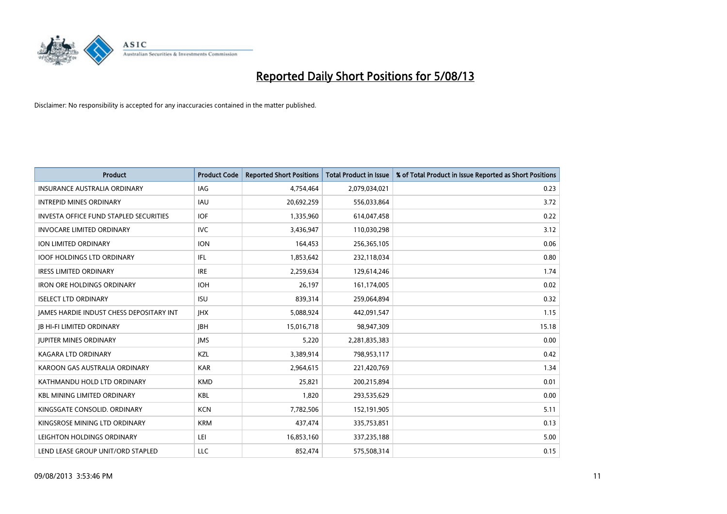

| <b>Product</b>                                  | <b>Product Code</b> | <b>Reported Short Positions</b> | <b>Total Product in Issue</b> | % of Total Product in Issue Reported as Short Positions |
|-------------------------------------------------|---------------------|---------------------------------|-------------------------------|---------------------------------------------------------|
| <b>INSURANCE AUSTRALIA ORDINARY</b>             | <b>IAG</b>          | 4,754,464                       | 2,079,034,021                 | 0.23                                                    |
| <b>INTREPID MINES ORDINARY</b>                  | <b>IAU</b>          | 20,692,259                      | 556,033,864                   | 3.72                                                    |
| <b>INVESTA OFFICE FUND STAPLED SECURITIES</b>   | <b>IOF</b>          | 1,335,960                       | 614,047,458                   | 0.22                                                    |
| <b>INVOCARE LIMITED ORDINARY</b>                | <b>IVC</b>          | 3,436,947                       | 110,030,298                   | 3.12                                                    |
| ION LIMITED ORDINARY                            | <b>ION</b>          | 164,453                         | 256,365,105                   | 0.06                                                    |
| <b>IOOF HOLDINGS LTD ORDINARY</b>               | IFL                 | 1,853,642                       | 232,118,034                   | 0.80                                                    |
| <b>IRESS LIMITED ORDINARY</b>                   | <b>IRE</b>          | 2,259,634                       | 129,614,246                   | 1.74                                                    |
| <b>IRON ORE HOLDINGS ORDINARY</b>               | <b>IOH</b>          | 26,197                          | 161,174,005                   | 0.02                                                    |
| <b>ISELECT LTD ORDINARY</b>                     | <b>ISU</b>          | 839,314                         | 259,064,894                   | 0.32                                                    |
| <b>JAMES HARDIE INDUST CHESS DEPOSITARY INT</b> | <b>IHX</b>          | 5,088,924                       | 442,091,547                   | 1.15                                                    |
| <b>JB HI-FI LIMITED ORDINARY</b>                | JBH                 | 15,016,718                      | 98,947,309                    | 15.18                                                   |
| <b>JUPITER MINES ORDINARY</b>                   | <b>IMS</b>          | 5,220                           | 2,281,835,383                 | 0.00                                                    |
| <b>KAGARA LTD ORDINARY</b>                      | KZL                 | 3,389,914                       | 798,953,117                   | 0.42                                                    |
| KAROON GAS AUSTRALIA ORDINARY                   | <b>KAR</b>          | 2,964,615                       | 221,420,769                   | 1.34                                                    |
| KATHMANDU HOLD LTD ORDINARY                     | <b>KMD</b>          | 25,821                          | 200,215,894                   | 0.01                                                    |
| <b>KBL MINING LIMITED ORDINARY</b>              | KBL                 | 1,820                           | 293,535,629                   | 0.00                                                    |
| KINGSGATE CONSOLID. ORDINARY                    | <b>KCN</b>          | 7,782,506                       | 152,191,905                   | 5.11                                                    |
| KINGSROSE MINING LTD ORDINARY                   | <b>KRM</b>          | 437,474                         | 335,753,851                   | 0.13                                                    |
| LEIGHTON HOLDINGS ORDINARY                      | LEI                 | 16,853,160                      | 337,235,188                   | 5.00                                                    |
| LEND LEASE GROUP UNIT/ORD STAPLED               | <b>LLC</b>          | 852,474                         | 575,508,314                   | 0.15                                                    |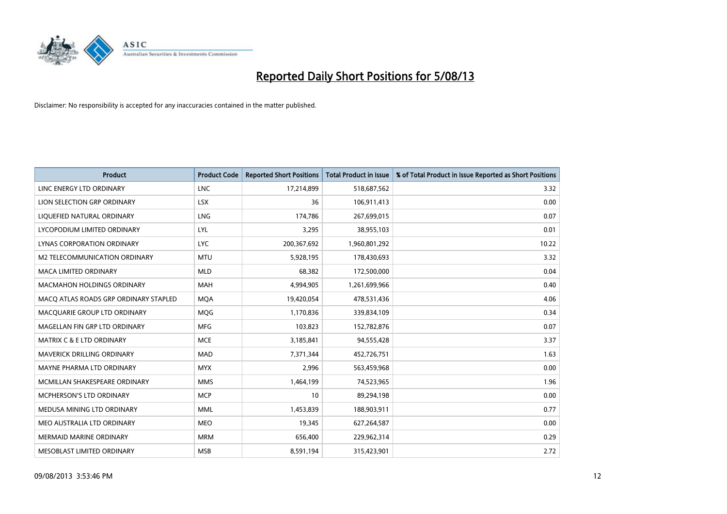

| <b>Product</b>                        | <b>Product Code</b> | <b>Reported Short Positions</b> | <b>Total Product in Issue</b> | % of Total Product in Issue Reported as Short Positions |
|---------------------------------------|---------------------|---------------------------------|-------------------------------|---------------------------------------------------------|
| LINC ENERGY LTD ORDINARY              | <b>LNC</b>          | 17,214,899                      | 518,687,562                   | 3.32                                                    |
| LION SELECTION GRP ORDINARY           | <b>LSX</b>          | 36                              | 106,911,413                   | 0.00                                                    |
| LIQUEFIED NATURAL ORDINARY            | <b>LNG</b>          | 174,786                         | 267,699,015                   | 0.07                                                    |
| LYCOPODIUM LIMITED ORDINARY           | LYL                 | 3,295                           | 38,955,103                    | 0.01                                                    |
| LYNAS CORPORATION ORDINARY            | <b>LYC</b>          | 200,367,692                     | 1,960,801,292                 | 10.22                                                   |
| M2 TELECOMMUNICATION ORDINARY         | <b>MTU</b>          | 5,928,195                       | 178,430,693                   | 3.32                                                    |
| <b>MACA LIMITED ORDINARY</b>          | <b>MLD</b>          | 68,382                          | 172,500,000                   | 0.04                                                    |
| <b>MACMAHON HOLDINGS ORDINARY</b>     | <b>MAH</b>          | 4,994,905                       | 1,261,699,966                 | 0.40                                                    |
| MACO ATLAS ROADS GRP ORDINARY STAPLED | <b>MOA</b>          | 19,420,054                      | 478,531,436                   | 4.06                                                    |
| MACQUARIE GROUP LTD ORDINARY          | MQG                 | 1,170,836                       | 339,834,109                   | 0.34                                                    |
| MAGELLAN FIN GRP LTD ORDINARY         | <b>MFG</b>          | 103,823                         | 152,782,876                   | 0.07                                                    |
| <b>MATRIX C &amp; E LTD ORDINARY</b>  | <b>MCE</b>          | 3,185,841                       | 94,555,428                    | 3.37                                                    |
| MAVERICK DRILLING ORDINARY            | <b>MAD</b>          | 7,371,344                       | 452,726,751                   | 1.63                                                    |
| MAYNE PHARMA LTD ORDINARY             | <b>MYX</b>          | 2,996                           | 563,459,968                   | 0.00                                                    |
| MCMILLAN SHAKESPEARE ORDINARY         | <b>MMS</b>          | 1,464,199                       | 74,523,965                    | 1.96                                                    |
| <b>MCPHERSON'S LTD ORDINARY</b>       | <b>MCP</b>          | 10                              | 89,294,198                    | 0.00                                                    |
| MEDUSA MINING LTD ORDINARY            | MML                 | 1,453,839                       | 188,903,911                   | 0.77                                                    |
| MEO AUSTRALIA LTD ORDINARY            | <b>MEO</b>          | 19,345                          | 627,264,587                   | 0.00                                                    |
| <b>MERMAID MARINE ORDINARY</b>        | <b>MRM</b>          | 656,400                         | 229,962,314                   | 0.29                                                    |
| MESOBLAST LIMITED ORDINARY            | <b>MSB</b>          | 8,591,194                       | 315,423,901                   | 2.72                                                    |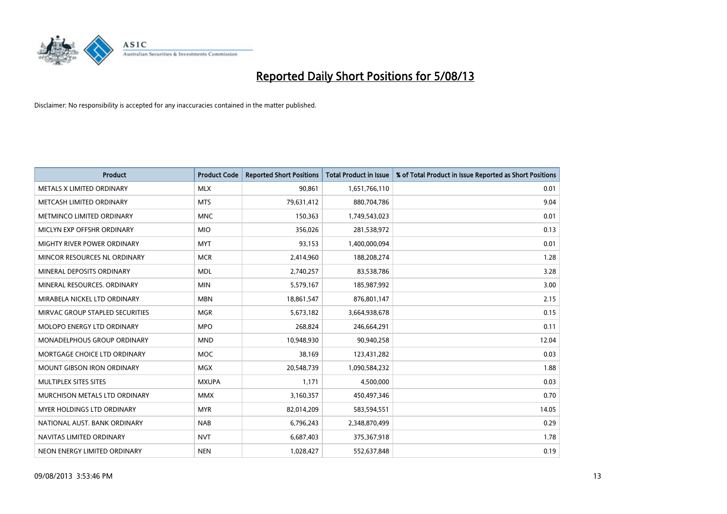

| <b>Product</b>                     | <b>Product Code</b> | <b>Reported Short Positions</b> | <b>Total Product in Issue</b> | % of Total Product in Issue Reported as Short Positions |
|------------------------------------|---------------------|---------------------------------|-------------------------------|---------------------------------------------------------|
| METALS X LIMITED ORDINARY          | <b>MLX</b>          | 90,861                          | 1,651,766,110                 | 0.01                                                    |
| METCASH LIMITED ORDINARY           | <b>MTS</b>          | 79,631,412                      | 880,704,786                   | 9.04                                                    |
| METMINCO LIMITED ORDINARY          | <b>MNC</b>          | 150,363                         | 1,749,543,023                 | 0.01                                                    |
| MICLYN EXP OFFSHR ORDINARY         | <b>MIO</b>          | 356,026                         | 281,538,972                   | 0.13                                                    |
| MIGHTY RIVER POWER ORDINARY        | <b>MYT</b>          | 93,153                          | 1,400,000,094                 | 0.01                                                    |
| MINCOR RESOURCES NL ORDINARY       | <b>MCR</b>          | 2,414,960                       | 188,208,274                   | 1.28                                                    |
| MINERAL DEPOSITS ORDINARY          | <b>MDL</b>          | 2,740,257                       | 83,538,786                    | 3.28                                                    |
| MINERAL RESOURCES. ORDINARY        | <b>MIN</b>          | 5,579,167                       | 185,987,992                   | 3.00                                                    |
| MIRABELA NICKEL LTD ORDINARY       | <b>MBN</b>          | 18,861,547                      | 876,801,147                   | 2.15                                                    |
| MIRVAC GROUP STAPLED SECURITIES    | <b>MGR</b>          | 5,673,182                       | 3,664,938,678                 | 0.15                                                    |
| MOLOPO ENERGY LTD ORDINARY         | <b>MPO</b>          | 268,824                         | 246,664,291                   | 0.11                                                    |
| <b>MONADELPHOUS GROUP ORDINARY</b> | <b>MND</b>          | 10,948,930                      | 90,940,258                    | 12.04                                                   |
| MORTGAGE CHOICE LTD ORDINARY       | MOC                 | 38,169                          | 123,431,282                   | 0.03                                                    |
| <b>MOUNT GIBSON IRON ORDINARY</b>  | <b>MGX</b>          | 20,548,739                      | 1,090,584,232                 | 1.88                                                    |
| MULTIPLEX SITES SITES              | <b>MXUPA</b>        | 1,171                           | 4,500,000                     | 0.03                                                    |
| MURCHISON METALS LTD ORDINARY      | <b>MMX</b>          | 3,160,357                       | 450,497,346                   | 0.70                                                    |
| MYER HOLDINGS LTD ORDINARY         | <b>MYR</b>          | 82,014,209                      | 583,594,551                   | 14.05                                                   |
| NATIONAL AUST, BANK ORDINARY       | <b>NAB</b>          | 6,796,243                       | 2,348,870,499                 | 0.29                                                    |
| NAVITAS LIMITED ORDINARY           | <b>NVT</b>          | 6,687,403                       | 375,367,918                   | 1.78                                                    |
| NEON ENERGY LIMITED ORDINARY       | <b>NEN</b>          | 1,028,427                       | 552,637,848                   | 0.19                                                    |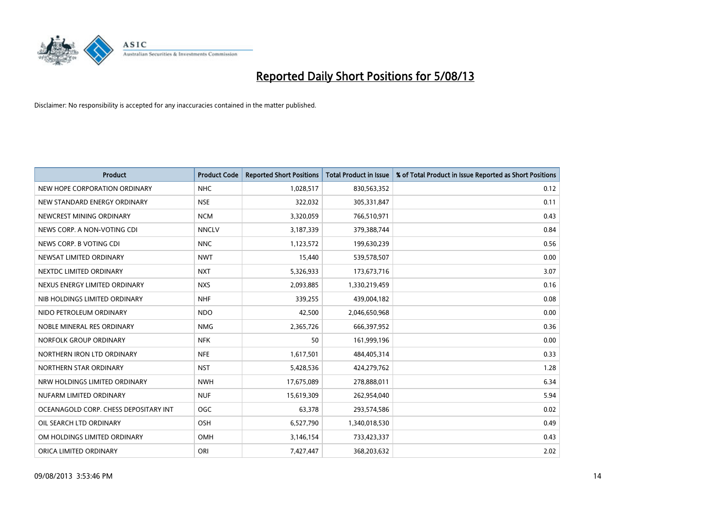

| <b>Product</b>                        | <b>Product Code</b> | <b>Reported Short Positions</b> | <b>Total Product in Issue</b> | % of Total Product in Issue Reported as Short Positions |
|---------------------------------------|---------------------|---------------------------------|-------------------------------|---------------------------------------------------------|
| NEW HOPE CORPORATION ORDINARY         | <b>NHC</b>          | 1,028,517                       | 830,563,352                   | 0.12                                                    |
| NEW STANDARD ENERGY ORDINARY          | <b>NSE</b>          | 322,032                         | 305,331,847                   | 0.11                                                    |
| NEWCREST MINING ORDINARY              | <b>NCM</b>          | 3,320,059                       | 766,510,971                   | 0.43                                                    |
| NEWS CORP. A NON-VOTING CDI           | <b>NNCLV</b>        | 3,187,339                       | 379,388,744                   | 0.84                                                    |
| NEWS CORP. B VOTING CDI               | <b>NNC</b>          | 1,123,572                       | 199,630,239                   | 0.56                                                    |
| NEWSAT LIMITED ORDINARY               | <b>NWT</b>          | 15,440                          | 539,578,507                   | 0.00                                                    |
| NEXTDC LIMITED ORDINARY               | <b>NXT</b>          | 5,326,933                       | 173,673,716                   | 3.07                                                    |
| NEXUS ENERGY LIMITED ORDINARY         | <b>NXS</b>          | 2,093,885                       | 1,330,219,459                 | 0.16                                                    |
| NIB HOLDINGS LIMITED ORDINARY         | <b>NHF</b>          | 339,255                         | 439,004,182                   | 0.08                                                    |
| NIDO PETROLEUM ORDINARY               | <b>NDO</b>          | 42,500                          | 2,046,650,968                 | 0.00                                                    |
| NOBLE MINERAL RES ORDINARY            | <b>NMG</b>          | 2,365,726                       | 666,397,952                   | 0.36                                                    |
| NORFOLK GROUP ORDINARY                | <b>NFK</b>          | 50                              | 161,999,196                   | 0.00                                                    |
| NORTHERN IRON LTD ORDINARY            | <b>NFE</b>          | 1,617,501                       | 484,405,314                   | 0.33                                                    |
| NORTHERN STAR ORDINARY                | <b>NST</b>          | 5,428,536                       | 424,279,762                   | 1.28                                                    |
| NRW HOLDINGS LIMITED ORDINARY         | <b>NWH</b>          | 17,675,089                      | 278,888,011                   | 6.34                                                    |
| NUFARM LIMITED ORDINARY               | <b>NUF</b>          | 15,619,309                      | 262,954,040                   | 5.94                                                    |
| OCEANAGOLD CORP. CHESS DEPOSITARY INT | <b>OGC</b>          | 63,378                          | 293,574,586                   | 0.02                                                    |
| OIL SEARCH LTD ORDINARY               | OSH                 | 6,527,790                       | 1,340,018,530                 | 0.49                                                    |
| OM HOLDINGS LIMITED ORDINARY          | OMH                 | 3,146,154                       | 733,423,337                   | 0.43                                                    |
| ORICA LIMITED ORDINARY                | ORI                 | 7,427,447                       | 368,203,632                   | 2.02                                                    |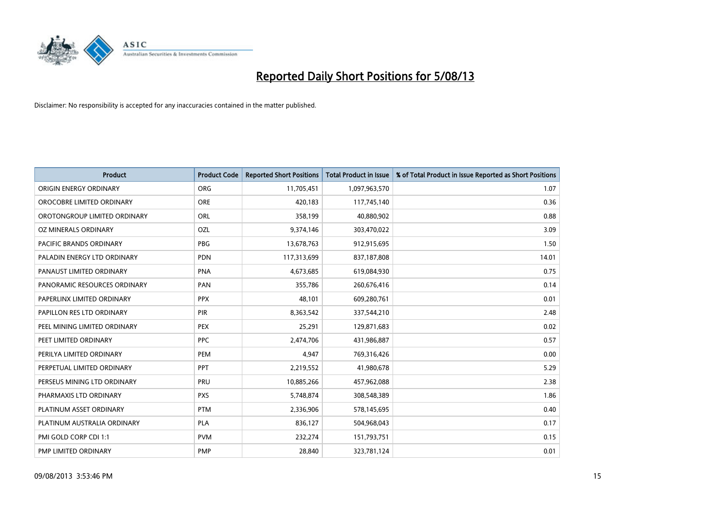

| <b>Product</b>                 | <b>Product Code</b> | <b>Reported Short Positions</b> | <b>Total Product in Issue</b> | % of Total Product in Issue Reported as Short Positions |
|--------------------------------|---------------------|---------------------------------|-------------------------------|---------------------------------------------------------|
| ORIGIN ENERGY ORDINARY         | <b>ORG</b>          | 11,705,451                      | 1,097,963,570                 | 1.07                                                    |
| OROCOBRE LIMITED ORDINARY      | <b>ORE</b>          | 420,183                         | 117,745,140                   | 0.36                                                    |
| OROTONGROUP LIMITED ORDINARY   | <b>ORL</b>          | 358,199                         | 40,880,902                    | 0.88                                                    |
| OZ MINERALS ORDINARY           | <b>OZL</b>          | 9,374,146                       | 303,470,022                   | 3.09                                                    |
| <b>PACIFIC BRANDS ORDINARY</b> | <b>PBG</b>          | 13,678,763                      | 912,915,695                   | 1.50                                                    |
| PALADIN ENERGY LTD ORDINARY    | PDN                 | 117,313,699                     | 837,187,808                   | 14.01                                                   |
| PANAUST LIMITED ORDINARY       | <b>PNA</b>          | 4,673,685                       | 619,084,930                   | 0.75                                                    |
| PANORAMIC RESOURCES ORDINARY   | PAN                 | 355,786                         | 260,676,416                   | 0.14                                                    |
| PAPERLINX LIMITED ORDINARY     | <b>PPX</b>          | 48,101                          | 609,280,761                   | 0.01                                                    |
| PAPILLON RES LTD ORDINARY      | PIR                 | 8,363,542                       | 337,544,210                   | 2.48                                                    |
| PEEL MINING LIMITED ORDINARY   | PEX                 | 25,291                          | 129,871,683                   | 0.02                                                    |
| PEET LIMITED ORDINARY          | <b>PPC</b>          | 2,474,706                       | 431,986,887                   | 0.57                                                    |
| PERILYA LIMITED ORDINARY       | PEM                 | 4,947                           | 769,316,426                   | 0.00                                                    |
| PERPETUAL LIMITED ORDINARY     | <b>PPT</b>          | 2,219,552                       | 41,980,678                    | 5.29                                                    |
| PERSEUS MINING LTD ORDINARY    | PRU                 | 10,885,266                      | 457,962,088                   | 2.38                                                    |
| PHARMAXIS LTD ORDINARY         | <b>PXS</b>          | 5,748,874                       | 308,548,389                   | 1.86                                                    |
| PLATINUM ASSET ORDINARY        | <b>PTM</b>          | 2,336,906                       | 578,145,695                   | 0.40                                                    |
| PLATINUM AUSTRALIA ORDINARY    | <b>PLA</b>          | 836,127                         | 504,968,043                   | 0.17                                                    |
| PMI GOLD CORP CDI 1:1          | <b>PVM</b>          | 232,274                         | 151,793,751                   | 0.15                                                    |
| PMP LIMITED ORDINARY           | <b>PMP</b>          | 28,840                          | 323,781,124                   | 0.01                                                    |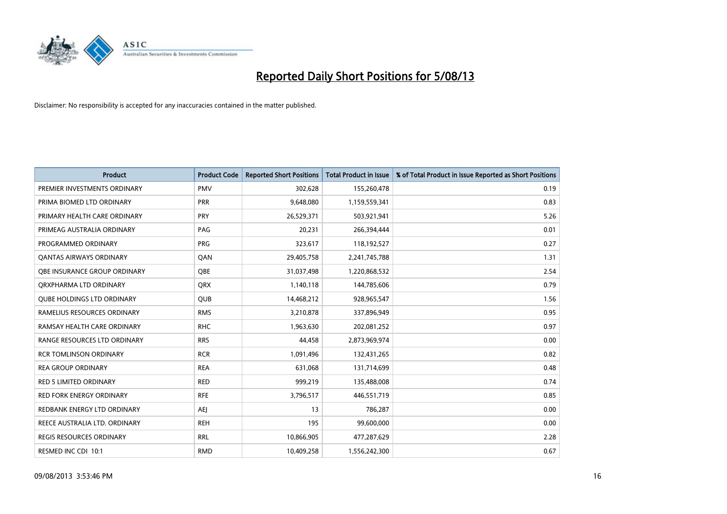

| <b>Product</b>                    | <b>Product Code</b> | <b>Reported Short Positions</b> | <b>Total Product in Issue</b> | % of Total Product in Issue Reported as Short Positions |
|-----------------------------------|---------------------|---------------------------------|-------------------------------|---------------------------------------------------------|
| PREMIER INVESTMENTS ORDINARY      | <b>PMV</b>          | 302,628                         | 155,260,478                   | 0.19                                                    |
| PRIMA BIOMED LTD ORDINARY         | <b>PRR</b>          | 9,648,080                       | 1,159,559,341                 | 0.83                                                    |
| PRIMARY HEALTH CARE ORDINARY      | <b>PRY</b>          | 26,529,371                      | 503,921,941                   | 5.26                                                    |
| PRIMEAG AUSTRALIA ORDINARY        | PAG                 | 20,231                          | 266,394,444                   | 0.01                                                    |
| PROGRAMMED ORDINARY               | <b>PRG</b>          | 323,617                         | 118,192,527                   | 0.27                                                    |
| <b>QANTAS AIRWAYS ORDINARY</b>    | QAN                 | 29,405,758                      | 2,241,745,788                 | 1.31                                                    |
| OBE INSURANCE GROUP ORDINARY      | QBE                 | 31,037,498                      | 1,220,868,532                 | 2.54                                                    |
| ORXPHARMA LTD ORDINARY            | QRX                 | 1,140,118                       | 144,785,606                   | 0.79                                                    |
| <b>OUBE HOLDINGS LTD ORDINARY</b> | <b>QUB</b>          | 14,468,212                      | 928,965,547                   | 1.56                                                    |
| RAMELIUS RESOURCES ORDINARY       | <b>RMS</b>          | 3,210,878                       | 337,896,949                   | 0.95                                                    |
| RAMSAY HEALTH CARE ORDINARY       | <b>RHC</b>          | 1,963,630                       | 202,081,252                   | 0.97                                                    |
| RANGE RESOURCES LTD ORDINARY      | <b>RRS</b>          | 44,458                          | 2,873,969,974                 | 0.00                                                    |
| <b>RCR TOMLINSON ORDINARY</b>     | <b>RCR</b>          | 1,091,496                       | 132,431,265                   | 0.82                                                    |
| <b>REA GROUP ORDINARY</b>         | <b>REA</b>          | 631,068                         | 131,714,699                   | 0.48                                                    |
| <b>RED 5 LIMITED ORDINARY</b>     | <b>RED</b>          | 999,219                         | 135,488,008                   | 0.74                                                    |
| <b>RED FORK ENERGY ORDINARY</b>   | <b>RFE</b>          | 3,796,517                       | 446,551,719                   | 0.85                                                    |
| REDBANK ENERGY LTD ORDINARY       | AEJ                 | 13                              | 786,287                       | 0.00                                                    |
| REECE AUSTRALIA LTD. ORDINARY     | <b>REH</b>          | 195                             | 99,600,000                    | 0.00                                                    |
| <b>REGIS RESOURCES ORDINARY</b>   | <b>RRL</b>          | 10,866,905                      | 477,287,629                   | 2.28                                                    |
| RESMED INC CDI 10:1               | <b>RMD</b>          | 10,409,258                      | 1,556,242,300                 | 0.67                                                    |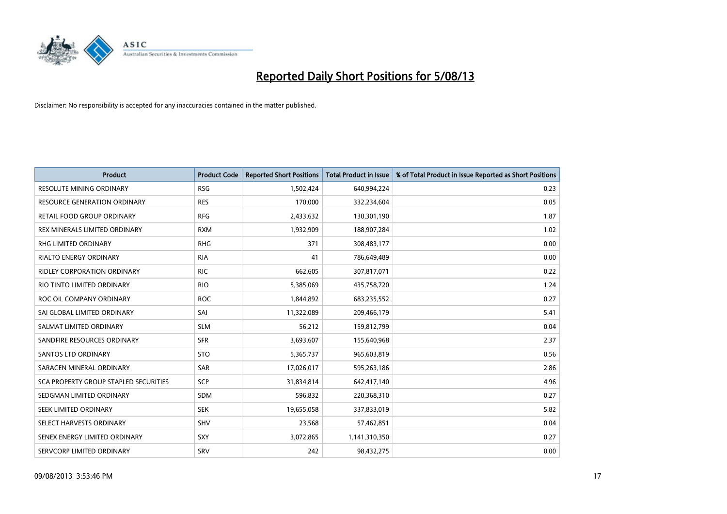

| <b>Product</b>                        | <b>Product Code</b> | <b>Reported Short Positions</b> | <b>Total Product in Issue</b> | % of Total Product in Issue Reported as Short Positions |
|---------------------------------------|---------------------|---------------------------------|-------------------------------|---------------------------------------------------------|
| <b>RESOLUTE MINING ORDINARY</b>       | <b>RSG</b>          | 1,502,424                       | 640,994,224                   | 0.23                                                    |
| RESOURCE GENERATION ORDINARY          | <b>RES</b>          | 170,000                         | 332,234,604                   | 0.05                                                    |
| RETAIL FOOD GROUP ORDINARY            | <b>RFG</b>          | 2,433,632                       | 130,301,190                   | 1.87                                                    |
| REX MINERALS LIMITED ORDINARY         | <b>RXM</b>          | 1,932,909                       | 188,907,284                   | 1.02                                                    |
| <b>RHG LIMITED ORDINARY</b>           | <b>RHG</b>          | 371                             | 308,483,177                   | 0.00                                                    |
| <b>RIALTO ENERGY ORDINARY</b>         | <b>RIA</b>          | 41                              | 786,649,489                   | 0.00                                                    |
| RIDLEY CORPORATION ORDINARY           | <b>RIC</b>          | 662,605                         | 307,817,071                   | 0.22                                                    |
| RIO TINTO LIMITED ORDINARY            | <b>RIO</b>          | 5,385,069                       | 435,758,720                   | 1.24                                                    |
| ROC OIL COMPANY ORDINARY              | <b>ROC</b>          | 1,844,892                       | 683,235,552                   | 0.27                                                    |
| SAI GLOBAL LIMITED ORDINARY           | SAI                 | 11,322,089                      | 209,466,179                   | 5.41                                                    |
| SALMAT LIMITED ORDINARY               | <b>SLM</b>          | 56,212                          | 159,812,799                   | 0.04                                                    |
| SANDFIRE RESOURCES ORDINARY           | <b>SFR</b>          | 3,693,607                       | 155,640,968                   | 2.37                                                    |
| SANTOS LTD ORDINARY                   | <b>STO</b>          | 5,365,737                       | 965,603,819                   | 0.56                                                    |
| SARACEN MINERAL ORDINARY              | SAR                 | 17,026,017                      | 595,263,186                   | 2.86                                                    |
| SCA PROPERTY GROUP STAPLED SECURITIES | SCP                 | 31,834,814                      | 642,417,140                   | 4.96                                                    |
| SEDGMAN LIMITED ORDINARY              | SDM                 | 596,832                         | 220,368,310                   | 0.27                                                    |
| SEEK LIMITED ORDINARY                 | <b>SEK</b>          | 19,655,058                      | 337,833,019                   | 5.82                                                    |
| SELECT HARVESTS ORDINARY              | <b>SHV</b>          | 23,568                          | 57,462,851                    | 0.04                                                    |
| SENEX ENERGY LIMITED ORDINARY         | SXY                 | 3,072,865                       | 1,141,310,350                 | 0.27                                                    |
| SERVCORP LIMITED ORDINARY             | SRV                 | 242                             | 98,432,275                    | 0.00                                                    |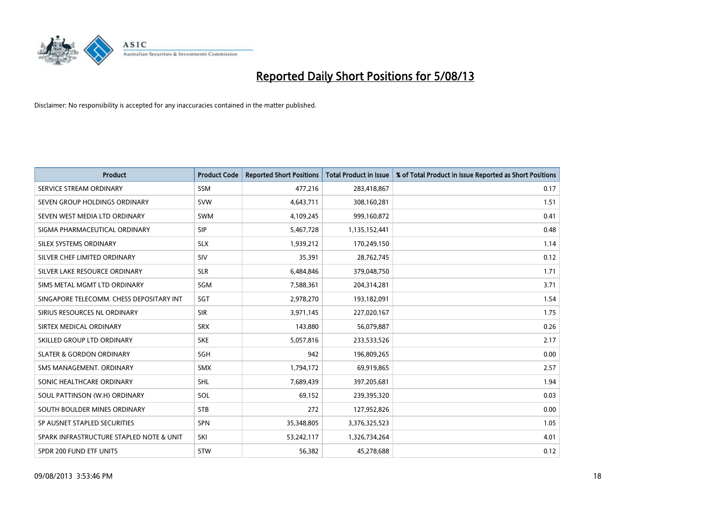

| <b>Product</b>                           | <b>Product Code</b> | <b>Reported Short Positions</b> | <b>Total Product in Issue</b> | % of Total Product in Issue Reported as Short Positions |
|------------------------------------------|---------------------|---------------------------------|-------------------------------|---------------------------------------------------------|
| SERVICE STREAM ORDINARY                  | <b>SSM</b>          | 477,216                         | 283,418,867                   | 0.17                                                    |
| SEVEN GROUP HOLDINGS ORDINARY            | <b>SVW</b>          | 4,643,711                       | 308,160,281                   | 1.51                                                    |
| SEVEN WEST MEDIA LTD ORDINARY            | <b>SWM</b>          | 4,109,245                       | 999,160,872                   | 0.41                                                    |
| SIGMA PHARMACEUTICAL ORDINARY            | <b>SIP</b>          | 5,467,728                       | 1,135,152,441                 | 0.48                                                    |
| SILEX SYSTEMS ORDINARY                   | <b>SLX</b>          | 1,939,212                       | 170,249,150                   | 1.14                                                    |
| SILVER CHEF LIMITED ORDINARY             | SIV                 | 35,391                          | 28,762,745                    | 0.12                                                    |
| SILVER LAKE RESOURCE ORDINARY            | <b>SLR</b>          | 6,484,846                       | 379,048,750                   | 1.71                                                    |
| SIMS METAL MGMT LTD ORDINARY             | SGM                 | 7,588,361                       | 204,314,281                   | 3.71                                                    |
| SINGAPORE TELECOMM. CHESS DEPOSITARY INT | SGT                 | 2,978,270                       | 193,182,091                   | 1.54                                                    |
| SIRIUS RESOURCES NL ORDINARY             | <b>SIR</b>          | 3,971,145                       | 227,020,167                   | 1.75                                                    |
| SIRTEX MEDICAL ORDINARY                  | <b>SRX</b>          | 143,880                         | 56,079,887                    | 0.26                                                    |
| SKILLED GROUP LTD ORDINARY               | <b>SKE</b>          | 5,057,816                       | 233,533,526                   | 2.17                                                    |
| <b>SLATER &amp; GORDON ORDINARY</b>      | SGH                 | 942                             | 196,809,265                   | 0.00                                                    |
| SMS MANAGEMENT, ORDINARY                 | <b>SMX</b>          | 1,794,172                       | 69,919,865                    | 2.57                                                    |
| SONIC HEALTHCARE ORDINARY                | SHL                 | 7,689,439                       | 397,205,681                   | 1.94                                                    |
| SOUL PATTINSON (W.H) ORDINARY            | SOL                 | 69,152                          | 239,395,320                   | 0.03                                                    |
| SOUTH BOULDER MINES ORDINARY             | <b>STB</b>          | 272                             | 127,952,826                   | 0.00                                                    |
| SP AUSNET STAPLED SECURITIES             | <b>SPN</b>          | 35,348,805                      | 3,376,325,523                 | 1.05                                                    |
| SPARK INFRASTRUCTURE STAPLED NOTE & UNIT | SKI                 | 53,242,117                      | 1,326,734,264                 | 4.01                                                    |
| SPDR 200 FUND ETF UNITS                  | <b>STW</b>          | 56,382                          | 45,278,688                    | 0.12                                                    |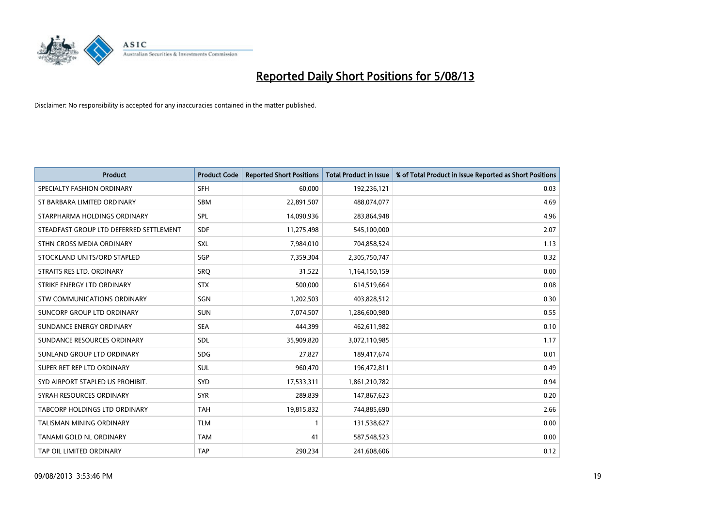

| <b>Product</b>                          | <b>Product Code</b> | <b>Reported Short Positions</b> | <b>Total Product in Issue</b> | % of Total Product in Issue Reported as Short Positions |
|-----------------------------------------|---------------------|---------------------------------|-------------------------------|---------------------------------------------------------|
| SPECIALTY FASHION ORDINARY              | <b>SFH</b>          | 60,000                          | 192,236,121                   | 0.03                                                    |
| ST BARBARA LIMITED ORDINARY             | SBM                 | 22,891,507                      | 488,074,077                   | 4.69                                                    |
| STARPHARMA HOLDINGS ORDINARY            | <b>SPL</b>          | 14,090,936                      | 283,864,948                   | 4.96                                                    |
| STEADFAST GROUP LTD DEFERRED SETTLEMENT | <b>SDF</b>          | 11,275,498                      | 545,100,000                   | 2.07                                                    |
| STHN CROSS MEDIA ORDINARY               | SXL                 | 7,984,010                       | 704,858,524                   | 1.13                                                    |
| STOCKLAND UNITS/ORD STAPLED             | SGP                 | 7,359,304                       | 2,305,750,747                 | 0.32                                                    |
| STRAITS RES LTD. ORDINARY               | <b>SRQ</b>          | 31,522                          | 1,164,150,159                 | 0.00                                                    |
| STRIKE ENERGY LTD ORDINARY              | <b>STX</b>          | 500,000                         | 614,519,664                   | 0.08                                                    |
| STW COMMUNICATIONS ORDINARY             | SGN                 | 1,202,503                       | 403,828,512                   | 0.30                                                    |
| SUNCORP GROUP LTD ORDINARY              | <b>SUN</b>          | 7,074,507                       | 1,286,600,980                 | 0.55                                                    |
| SUNDANCE ENERGY ORDINARY                | <b>SEA</b>          | 444,399                         | 462,611,982                   | 0.10                                                    |
| SUNDANCE RESOURCES ORDINARY             | <b>SDL</b>          | 35,909,820                      | 3,072,110,985                 | 1.17                                                    |
| SUNLAND GROUP LTD ORDINARY              | <b>SDG</b>          | 27,827                          | 189,417,674                   | 0.01                                                    |
| SUPER RET REP LTD ORDINARY              | SUL                 | 960,470                         | 196,472,811                   | 0.49                                                    |
| SYD AIRPORT STAPLED US PROHIBIT.        | SYD                 | 17,533,311                      | 1,861,210,782                 | 0.94                                                    |
| SYRAH RESOURCES ORDINARY                | <b>SYR</b>          | 289,839                         | 147,867,623                   | 0.20                                                    |
| TABCORP HOLDINGS LTD ORDINARY           | <b>TAH</b>          | 19,815,832                      | 744,885,690                   | 2.66                                                    |
| TALISMAN MINING ORDINARY                | <b>TLM</b>          | $\mathbf{1}$                    | 131,538,627                   | 0.00                                                    |
| TANAMI GOLD NL ORDINARY                 | <b>TAM</b>          | 41                              | 587,548,523                   | 0.00                                                    |
| TAP OIL LIMITED ORDINARY                | <b>TAP</b>          | 290,234                         | 241,608,606                   | 0.12                                                    |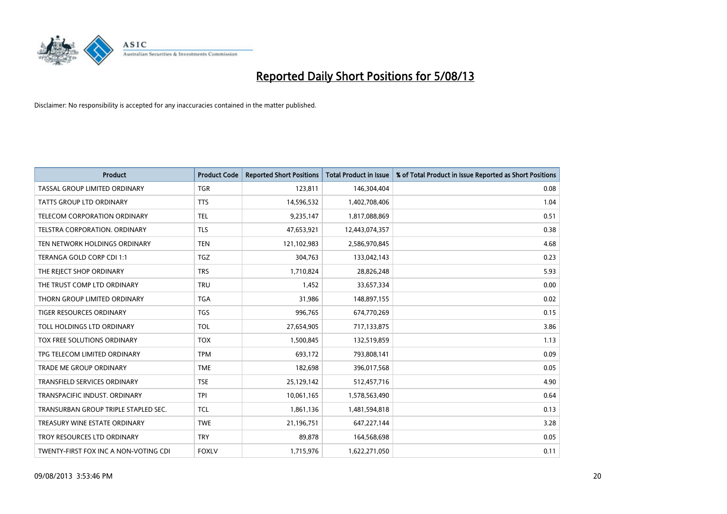

| <b>Product</b>                        | <b>Product Code</b> | <b>Reported Short Positions</b> | <b>Total Product in Issue</b> | % of Total Product in Issue Reported as Short Positions |
|---------------------------------------|---------------------|---------------------------------|-------------------------------|---------------------------------------------------------|
| TASSAL GROUP LIMITED ORDINARY         | <b>TGR</b>          | 123,811                         | 146,304,404                   | 0.08                                                    |
| TATTS GROUP LTD ORDINARY              | <b>TTS</b>          | 14,596,532                      | 1,402,708,406                 | 1.04                                                    |
| <b>TELECOM CORPORATION ORDINARY</b>   | <b>TEL</b>          | 9,235,147                       | 1,817,088,869                 | 0.51                                                    |
| TELSTRA CORPORATION. ORDINARY         | <b>TLS</b>          | 47,653,921                      | 12,443,074,357                | 0.38                                                    |
| TEN NETWORK HOLDINGS ORDINARY         | <b>TEN</b>          | 121,102,983                     | 2,586,970,845                 | 4.68                                                    |
| TERANGA GOLD CORP CDI 1:1             | <b>TGZ</b>          | 304,763                         | 133,042,143                   | 0.23                                                    |
| THE REJECT SHOP ORDINARY              | <b>TRS</b>          | 1,710,824                       | 28,826,248                    | 5.93                                                    |
| THE TRUST COMP LTD ORDINARY           | <b>TRU</b>          | 1,452                           | 33,657,334                    | 0.00                                                    |
| THORN GROUP LIMITED ORDINARY          | <b>TGA</b>          | 31,986                          | 148,897,155                   | 0.02                                                    |
| <b>TIGER RESOURCES ORDINARY</b>       | <b>TGS</b>          | 996,765                         | 674,770,269                   | 0.15                                                    |
| TOLL HOLDINGS LTD ORDINARY            | <b>TOL</b>          | 27,654,905                      | 717,133,875                   | 3.86                                                    |
| TOX FREE SOLUTIONS ORDINARY           | <b>TOX</b>          | 1,500,845                       | 132,519,859                   | 1.13                                                    |
| TPG TELECOM LIMITED ORDINARY          | <b>TPM</b>          | 693,172                         | 793,808,141                   | 0.09                                                    |
| <b>TRADE ME GROUP ORDINARY</b>        | <b>TME</b>          | 182,698                         | 396,017,568                   | 0.05                                                    |
| <b>TRANSFIELD SERVICES ORDINARY</b>   | <b>TSE</b>          | 25,129,142                      | 512,457,716                   | 4.90                                                    |
| TRANSPACIFIC INDUST. ORDINARY         | <b>TPI</b>          | 10,061,165                      | 1,578,563,490                 | 0.64                                                    |
| TRANSURBAN GROUP TRIPLE STAPLED SEC.  | <b>TCL</b>          | 1,861,136                       | 1,481,594,818                 | 0.13                                                    |
| TREASURY WINE ESTATE ORDINARY         | <b>TWE</b>          | 21,196,751                      | 647,227,144                   | 3.28                                                    |
| TROY RESOURCES LTD ORDINARY           | <b>TRY</b>          | 89,878                          | 164,568,698                   | 0.05                                                    |
| TWENTY-FIRST FOX INC A NON-VOTING CDI | <b>FOXLV</b>        | 1,715,976                       | 1,622,271,050                 | 0.11                                                    |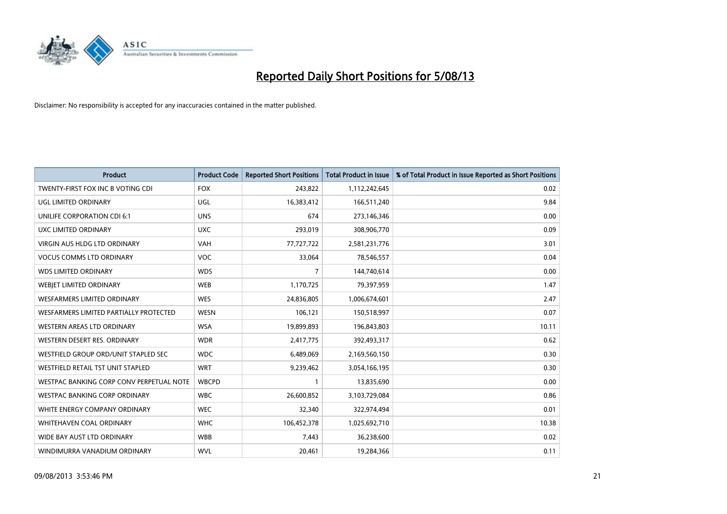

| <b>Product</b>                           | <b>Product Code</b> | <b>Reported Short Positions</b> | <b>Total Product in Issue</b> | % of Total Product in Issue Reported as Short Positions |
|------------------------------------------|---------------------|---------------------------------|-------------------------------|---------------------------------------------------------|
| TWENTY-FIRST FOX INC B VOTING CDI        | <b>FOX</b>          | 243,822                         | 1,112,242,645                 | 0.02                                                    |
| UGL LIMITED ORDINARY                     | UGL                 | 16,383,412                      | 166,511,240                   | 9.84                                                    |
| UNILIFE CORPORATION CDI 6:1              | <b>UNS</b>          | 674                             | 273,146,346                   | 0.00                                                    |
| UXC LIMITED ORDINARY                     | <b>UXC</b>          | 293,019                         | 308,906,770                   | 0.09                                                    |
| <b>VIRGIN AUS HLDG LTD ORDINARY</b>      | VAH                 | 77,727,722                      | 2,581,231,776                 | 3.01                                                    |
| <b>VOCUS COMMS LTD ORDINARY</b>          | <b>VOC</b>          | 33,064                          | 78,546,557                    | 0.04                                                    |
| <b>WDS LIMITED ORDINARY</b>              | <b>WDS</b>          | 7                               | 144,740,614                   | 0.00                                                    |
| WEBJET LIMITED ORDINARY                  | <b>WEB</b>          | 1,170,725                       | 79,397,959                    | 1.47                                                    |
| <b>WESFARMERS LIMITED ORDINARY</b>       | <b>WES</b>          | 24,836,805                      | 1,006,674,601                 | 2.47                                                    |
| WESFARMERS LIMITED PARTIALLY PROTECTED   | <b>WESN</b>         | 106,121                         | 150,518,997                   | 0.07                                                    |
| WESTERN AREAS LTD ORDINARY               | <b>WSA</b>          | 19,899,893                      | 196,843,803                   | 10.11                                                   |
| WESTERN DESERT RES. ORDINARY             | <b>WDR</b>          | 2,417,775                       | 392,493,317                   | 0.62                                                    |
| WESTFIELD GROUP ORD/UNIT STAPLED SEC     | <b>WDC</b>          | 6,489,069                       | 2,169,560,150                 | 0.30                                                    |
| WESTFIELD RETAIL TST UNIT STAPLED        | <b>WRT</b>          | 9,239,462                       | 3,054,166,195                 | 0.30                                                    |
| WESTPAC BANKING CORP CONV PERPETUAL NOTE | <b>WBCPD</b>        | $\mathbf{1}$                    | 13,835,690                    | 0.00                                                    |
| <b>WESTPAC BANKING CORP ORDINARY</b>     | <b>WBC</b>          | 26,600,852                      | 3,103,729,084                 | 0.86                                                    |
| WHITE ENERGY COMPANY ORDINARY            | <b>WEC</b>          | 32,340                          | 322,974,494                   | 0.01                                                    |
| WHITEHAVEN COAL ORDINARY                 | <b>WHC</b>          | 106,452,378                     | 1,025,692,710                 | 10.38                                                   |
| WIDE BAY AUST LTD ORDINARY               | <b>WBB</b>          | 7,443                           | 36,238,600                    | 0.02                                                    |
| WINDIMURRA VANADIUM ORDINARY             | <b>WVL</b>          | 20,461                          | 19,284,366                    | 0.11                                                    |